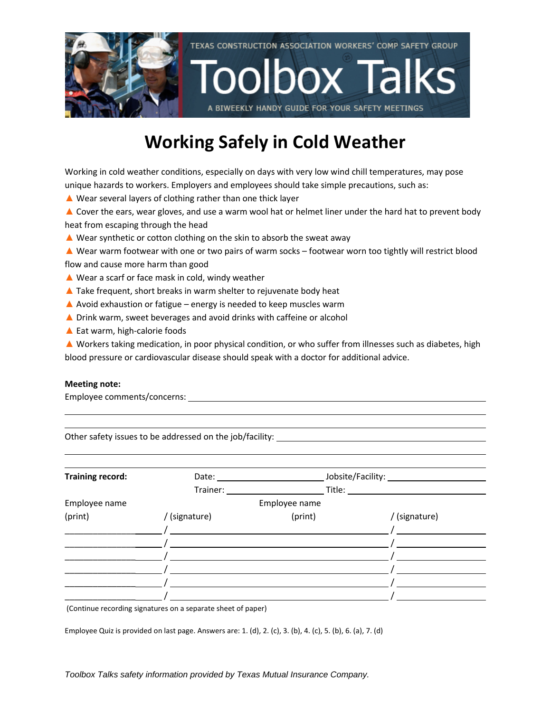

### **Working Safely in Cold Weather**

Working in cold weather conditions, especially on days with very low wind chill temperatures, may pose unique hazards to workers. Employers and employees should take simple precautions, such as:

- ▲ Wear several layers of clothing rather than one thick layer
- ▲ Cover the ears, wear gloves, and use a warm wool hat or helmet liner under the hard hat to prevent body heat from escaping through the head
- $\triangle$  Wear synthetic or cotton clothing on the skin to absorb the sweat away
- ▲ Wear warm footwear with one or two pairs of warm socks footwear worn too tightly will restrict blood flow and cause more harm than good
- ▲ Wear a scarf or face mask in cold, windy weather
- $\triangle$  Take frequent, short breaks in warm shelter to rejuvenate body heat
- $\triangle$  Avoid exhaustion or fatigue energy is needed to keep muscles warm
- ▲ Drink warm, sweet beverages and avoid drinks with caffeine or alcohol
- ▲ Eat warm, high-calorie foods

▲ Workers taking medication, in poor physical condition, or who suffer from illnesses such as diabetes, high blood pressure or cardiovascular disease should speak with a doctor for additional advice.

#### **Meeting note:**

Employee comments/concerns:

Other safety issues to be addressed on the job/facility:

| <b>Training record:</b> | Date:         |               | Jobsite/Facility: |  |  |  |
|-------------------------|---------------|---------------|-------------------|--|--|--|
|                         | Trainer:      | Title: Title: |                   |  |  |  |
| Employee name           |               | Employee name |                   |  |  |  |
| (print)                 | / (signature) | (print)       | / (signature)     |  |  |  |
|                         |               |               |                   |  |  |  |
|                         |               |               |                   |  |  |  |
|                         |               |               |                   |  |  |  |
|                         |               |               |                   |  |  |  |
|                         |               |               |                   |  |  |  |
|                         |               |               |                   |  |  |  |

(Continue recording signatures on a separate sheet of paper)

Employee Quiz is provided on last page. Answers are: 1. (d), 2. (c), 3. (b), 4. (c), 5. (b), 6. (a), 7. (d)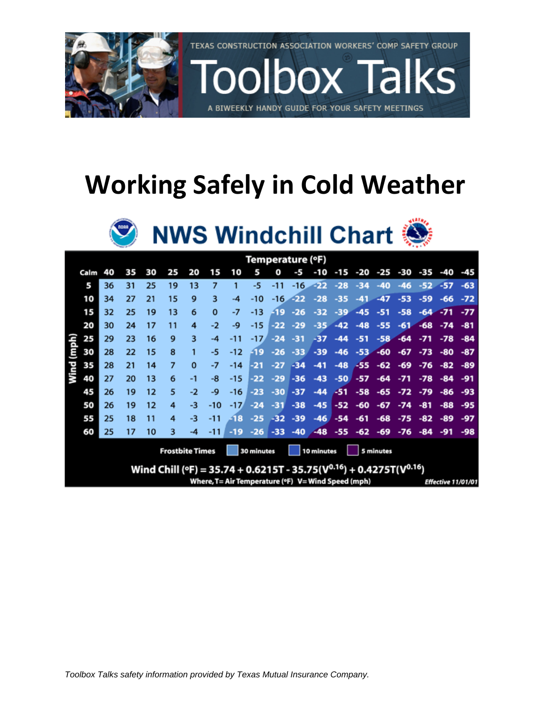

# **Working Safely in Cold Weather**



| Temperature (°F)                                                                |      |    |    |    |    |          |          |       |        |       |       |       |       |       |       |       |       |            |       |
|---------------------------------------------------------------------------------|------|----|----|----|----|----------|----------|-------|--------|-------|-------|-------|-------|-------|-------|-------|-------|------------|-------|
|                                                                                 | Calm | 40 | 35 | 30 | 25 | 20       | 15       | 10    | 5      | o     | -5    | -10   | -15   | -20   | -25   | -30   | -35   | -40        | -45   |
|                                                                                 | 5    | 36 | 31 | 25 | 19 | 13       | 7        |       | -5     | -11   | $-16$ | -22   | $-28$ | $-34$ | $-40$ | $-46$ |       | $-52 - 57$ | $-63$ |
|                                                                                 | 10   | 34 | 27 | 21 | 15 | 9        | 3        | -4    | -10    | -16   | -22   | $-28$ | $-35$ | $-41$ | $-47$ | $-53$ | -59   | -66        | $-72$ |
|                                                                                 | 15   | 32 | 25 | 19 | 13 | 6        | $\Omega$ | -7    | $-13$  | -19   | $-26$ | $-32$ | $-39$ | $-45$ | $-51$ | $-58$ | $-64$ | $-71$      | $-77$ |
|                                                                                 | 20   | 30 | 24 | 17 | 11 | 4        | $-2$     | -9    | $-15$  | -22   | $-29$ | $-35$ | $-42$ | $-48$ | $-55$ | $-61$ | $-68$ | $-74$      | -81   |
|                                                                                 | 25   | 29 | 23 | 16 | 9  | 3        | -4       | $-11$ | $-17.$ | $-24$ | -31   | -37   | -44   | $-51$ | $-58$ | $-64$ | $-71$ | $-78$      | $-84$ |
| (mph)                                                                           | 30   | 28 | 22 | 15 | 8  |          | -5       | $-12$ | -19    | $-26$ | $-33$ | $-39$ | $-46$ | $-53$ | $-60$ | $-67$ | $-73$ | -80        | $-87$ |
| Wind                                                                            | 35   | 28 | 21 | 14 | 7  | $\bf{0}$ | -7       | $-14$ | $-21$  | $-27$ | $-34$ | $-41$ | $-48$ | $-55$ | $-62$ | -69   | $-76$ | $-82$      | -89   |
|                                                                                 | 40   | 27 | 20 | 13 | 6  | $-1$     | -8       | $-15$ | $-22$  | $-29$ | -36   | $-43$ | $-50$ | $-57$ | -64   | $-71$ | $-78$ | $-84$      | -91   |
|                                                                                 | 45   | 26 | 19 | 12 | 5  | $-2$     | -9       | $-16$ | $-23$  | $-30$ | -37   | $-44$ | -51   | $-58$ | $-65$ | $-72$ | $-79$ | -86        | -93   |
|                                                                                 | 50   | 26 | 19 | 12 | 4  | -3       | $-10$    | $-17$ | $-24$  | $-31$ | $-38$ | $-45$ | $-52$ | $-60$ | $-67$ | $-74$ | -81   | $-88$      | -95   |
|                                                                                 | 55   | 25 | 18 | 11 | 4  | -3       | $-11$    | -18   | $-25$  | $-32$ | $-39$ | $-46$ | $-54$ | $-61$ | $-68$ | $-75$ | $-82$ | -89        | $-97$ |
|                                                                                 | 60   | 25 | 17 | 10 | 3  | -4       | $-11$    | -19   | $-26$  | -33   | $-40$ | $-48$ | $-55$ | $-62$ | -69   | $-76$ | $-84$ | -91        | -98   |
| <b>Frostbite Times</b><br>30 minutes<br>10 minutes<br>5 minutes                 |      |    |    |    |    |          |          |       |        |       |       |       |       |       |       |       |       |            |       |
| Wind Chill (°F) = 35.74 + 0.6215T - 35.75( $V^{0.16}$ ) + 0.4275T( $V^{0.16}$ ) |      |    |    |    |    |          |          |       |        |       |       |       |       |       |       |       |       |            |       |
| Where, T= Air Temperature (°F) V= Wind Speed (mph)<br>Effective 11/01/01        |      |    |    |    |    |          |          |       |        |       |       |       |       |       |       |       |       |            |       |